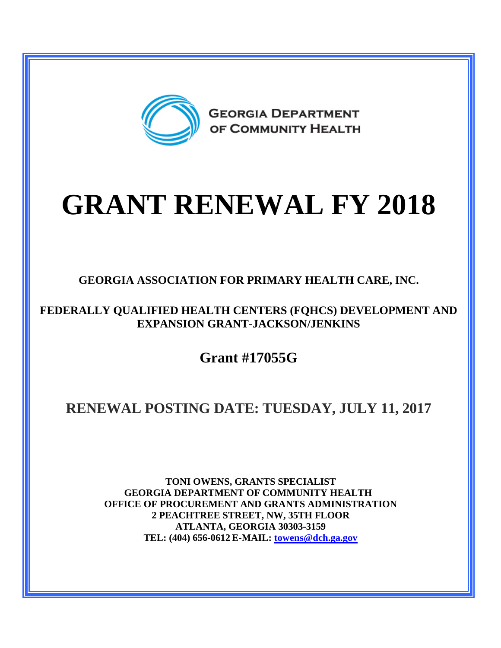

## **GRANT RENEWAL FY 2018**

**GEORGIA ASSOCIATION FOR PRIMARY HEALTH CARE, INC.**

**FEDERALLY QUALIFIED HEALTH CENTERS (FQHCS) DEVELOPMENT AND EXPANSION GRANT-JACKSON/JENKINS**

**Grant #17055G**

## **RENEWAL POSTING DATE: TUESDAY, JULY 11, 2017**

**TONI OWENS, GRANTS SPECIALIST GEORGIA DEPARTMENT OF COMMUNITY HEALTH OFFICE OF PROCUREMENT AND GRANTS ADMINISTRATION 2 PEACHTREE STREET, NW, 35TH FLOOR ATLANTA, GEORGIA 30303-3159 TEL: (404) 656-0612 E-MAIL: [towens@dch.ga.gov](mailto:towens@dch.ga.gov)**